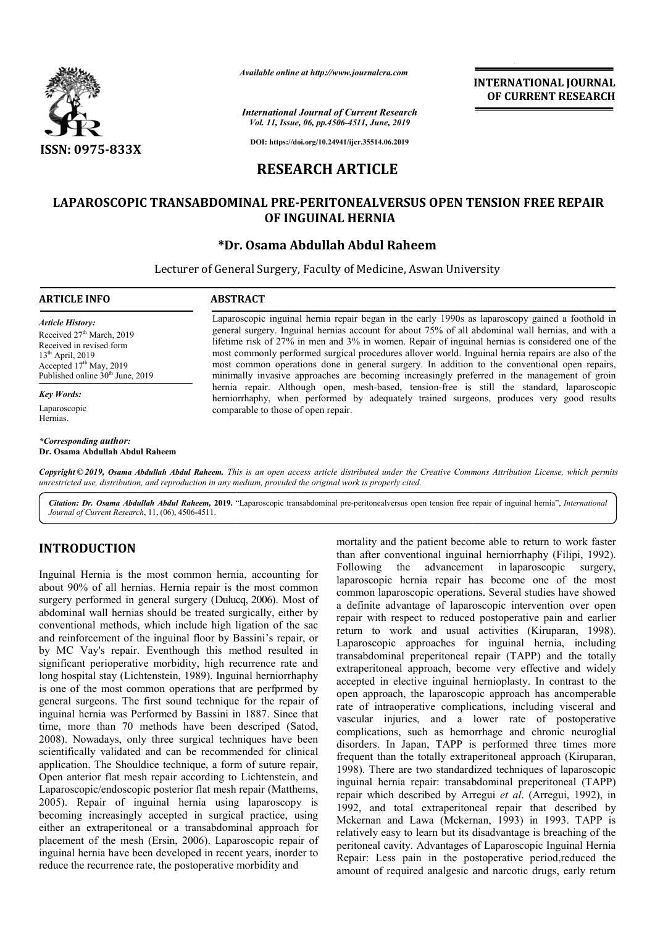

*Available online at http://www.journalcra.com*

*International Journal of Current Research Vol. 11, Issue, 06, pp.4506-4511, June, 2019*

**DOI: https://doi.org/10.24941/ijcr.35514.06.2019**

# **RESEARCH ARTICLE**

# **LAPAROSCOPIC TRANSABDOMINAL PRE-PERITONEALVERSUS OPEN TENSION FREE REPAIR OF INGUINAL HERNIA**

# **\*Dr. Osama Abdullah Abdul Raheem Dr.**

Lecturer of General Surgery, Faculty of Medicine, Aswan University

## **ARTICLE INFO ABSTRACT**

*Article History:* Received 27<sup>th</sup> March, 2019 Received in revised form 13th April, 2019 Accepted 17<sup>th</sup> May, 2019 Published online 30<sup>th</sup> June, 2019

## *Key Words:*

Laparoscopic Hernias.

*\*Corresponding author:* **Dr. Osama Abdullah Abdul Raheem** Laparoscopic inguinal hernia repair began in the early 1990s as laparoscopy gained a foothold in general surgery. Inguinal hernias account for about 75% of all abdominal wall hernias, and with a lifetime risk of 27% in men and 3% in women. Repair of inguinal hernias is considered one of the most commonly performed surgical procedures allover world. Inguinal hernia repairs are also of the most common operations done in general surgery. In addition to the conventional open repairs, minimally invasive approaches are becoming increasingly preferred in the management of groin hernia repair. Although open, mesh-based, tension-free is still the standard, laparoscopic herniorrha herniorrhaphy, when performed by adequately trained surgeons, produces very good results comparable to those of open repair. sk of 27% in men and 3% in women. Repair of inguinal hernias is considered one of monly performed surgical procedures allover world. Inguinal hernia repairs are also of mon operations done in general surgery. In addition t

**INTERNATIONAL JOURNAL OF CURRENT RESEARCH**

Copyright © 2019, Osama Abdullah Abdul Raheem. This is an open access article distributed under the Creative Commons Attribution License, which permits *unrestricted use, distribution, and reproduction in any medium, provided the original work is properly cited.*

Citation: Dr. Osama Abdullah Abdul Raheem, 2019. "Laparoscopic transabdominal pre-peritonealversus open tension free repair of inguinal hernia", *International Journal of Current Research*, 11, (06), 4506-4511.

# **INTRODUCTION**

Inguinal Hernia is the most common hernia, accounting for about 90% of all hernias. Hernia repair is the most common Inguinal Hernia is the most common hernia, accounting for about 90% of all hernias. Hernia repair is the most common surgery performed in general surgery (Dulucq, 2006). Most of abdominal wall hernias should be treated surgically, either by conventional methods, which include high ligation of the sac and reinforcement of the inguinal floor by B Bassini's repair, or by MC Vay's repair. Eventhough this method resulted in significant perioperative morbidity, high recurrence rate and long hospital stay (Lichtenstein, 1989). Inguinal herniorrhaphy is one of the most common operations that are perfprmed by general surgeons. The first sound technique for the repair of inguinal hernia was Performed by Bassini in 1887. Since that time, more than 70 methods have been descriped (Satod, 2008). Nowadays, only three surgical techniques have been 2008). Nowadays, only three surgical techniques have been scientifically validated and can be recommended for clinical application. The Shouldice technique, a form of suture repair, Open anterior flat mesh repair according to Lichtenstein, and Laparoscopic/endoscopic posterior flat mesh repair (Matthems, 2005). Repair of inguinal hernia using laparoscopy is becoming increasingly accepted in surgical practice, using either an extraperitoneal or a transabdominal approach for placement of the mesh (Ersin, 2006). Laparoscopic repair of inguinal hernia have been developed in recent years, inorder to reduce the recurrence rate, the postoperative morbidity and

mortality and the patient become able to return to work faster<br>
than after conventional inguinal hermic respective and the conventional in parabosopic permia repair<br>
is the most common laparoscopic hermia repair has becom mortality and the patient become able to return to work faster than after conventional inguinal herniorrhaphy (Filipi, 1992). Following the advancement in laparoscopic surgery, laparoscopic hernia repair has become one of the most common laparoscopic operations. Several studies have showed a definite advantage of laparoscopic intervention over open laparoscopic hernia repair has become one of the most common laparoscopic operations. Several studies have showed a definite advantage of laparoscopic intervention over open repair with respect to reduced postoperative pai return to work and usual activities (Kiruparan, 1998). Laparoscopic approaches for inguinal hernia, including transabdominal preperitoneal repair (TAPP) and the totally extraperitoneal approach, become very effective and widely accepted in elective inguinal hernioplasty. In contrast to the open approach, the laparoscopic approach has ancomperable rate of intraoperative complications, including visceral and vascular injuries, and a lower rate of postoperativ complications, such as hemorrhage and chronic neuroglial complications, such as hemorrhage and chronic neuroglial disorders. In Japan, TAPP is performed three times more frequent than the totally extraperitoneal approach (Kiruparan, 1998). There are two standardized techniques of laparoscopic 1998). There are two standardized techniques of laparoscopic inguinal hernia repair: transabdominal preperitoneal (TAPP) repair which described by Arregui *et al*. (Arregui, 1992), in 1992, and total extraperitoneal repair that described by 1992, and total extraperitoneal repair that described by Mckernan and Lawa (Mckernan, 1993) in 1993. TAPP is relatively easy to learn but its disadvantage is breaching of the peritoneal cavity. Advantages of Laparoscopic Inguinal Hernia Repair: Less pain in the postoperative period,reduced the amount of required analgesic and narcotic drugs, early return approaches for inguinal hernia, including<br>preperitoneal repair (TAPP) and the totally<br>approach, become very effective and widely accepted in elective inguinal hernioplasty. In contrast to the open approach, the laparoscopic approach has ancomperable rate of intraoperative complications, including visceral and vascular injuries, and a lower rate of p **PERIMATIONAL JOURNAL FORMAL POWERT (CONTROL)**<br> **DETERDATE CONTROL CONTROL**<br> **DETERDATE CONTROL CONTROL CONTROL CONTROL**<br> **DETERDATE CONTROL CONTROL CONTROL CONTROL CONTROL CONTROL CONTROL AND ADVIGUES (SUPPLY THE CONTROL**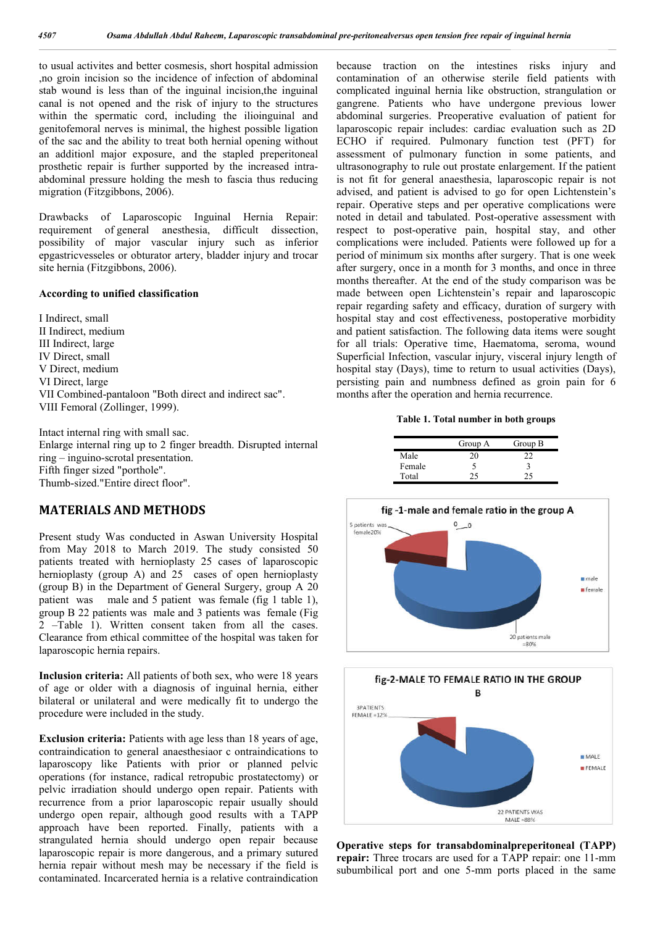to usual activites and better cosmesis, short hospital admission ,no groin incision so the incidence of infection of abdominal stab wound is less than of the inguinal incision,the inguinal canal is not opened and the risk of injury to the structures within the spermatic cord, including the ilioinguinal and genitofemoral nerves is minimal, the highest possible ligation of the sac and the ability to treat both hernial opening without an additionl major exposure, and the stapled preperitoneal prosthetic repair is further supported by the increased intraabdominal pressure holding the mesh to fascia thus reducing migration (Fitzgibbons, 2006).

Drawbacks of Laparoscopic Inguinal Hernia Repair: requirement of general anesthesia, difficult dissection, possibility of major vascular injury such as inferior epgastricvesseles or obturator artery, bladder injury and trocar site hernia (Fitzgibbons, 2006).

### **According to unified classification**

I Indirect, small II Indirect, medium III Indirect, large IV Direct, small V Direct, medium VI Direct, large VII Combined-pantaloon "Both direct and indirect sac". VIII Femoral (Zollinger, 1999).

Intact internal ring with small sac. Enlarge internal ring up to 2 finger breadth. Disrupted internal ring – inguino-scrotal presentation. Fifth finger sized "porthole". Thumb-sized."Entire direct floor".

# **MATERIALS AND METHODS**

Present study Was conducted in Aswan University Hospital from May 2018 to March 2019. The study consisted 50 patients treated with hernioplasty 25 cases of laparoscopic hernioplasty (group A) and 25 cases of open hernioplasty (group B) in the Department of General Surgery, group A 20 patient was male and 5 patient was female (fig 1 table 1), group B 22 patients was male and 3 patients was female (Fig 2 –Table 1). Written consent taken from all the cases. Clearance from ethical committee of the hospital was taken for laparoscopic hernia repairs.

**Inclusion criteria:** All patients of both sex, who were 18 years of age or older with a diagnosis of inguinal hernia, either bilateral or unilateral and were medically fit to undergo the procedure were included in the study.

**Exclusion criteria:** Patients with age less than 18 years of age, contraindication to general anaesthesiaor c ontraindications to laparoscopy like Patients with prior or planned pelvic operations (for instance, radical retropubic prostatectomy) or pelvic irradiation should undergo open repair. Patients with recurrence from a prior laparoscopic repair usually should undergo open repair, although good results with a TAPP approach have been reported. Finally, patients with a strangulated hernia should undergo open repair because laparoscopic repair is more dangerous, and a primary sutured hernia repair without mesh may be necessary if the field is contaminated. Incarcerated hernia is a relative contraindication

because traction on the intestines risks injury and contamination of an otherwise sterile field patients with complicated inguinal hernia like obstruction, strangulation or gangrene. Patients who have undergone previous lower abdominal surgeries. Preoperative evaluation of patient for laparoscopic repair includes: cardiac evaluation such as 2D ECHO if required. Pulmonary function test (PFT) for assessment of pulmonary function in some patients, and ultrasonography to rule out prostate enlargement. If the patient is not fit for general anaesthesia, laparoscopic repair is not advised, and patient is advised to go for open Lichtenstein's repair. Operative steps and per operative complications were noted in detail and tabulated. Post-operative assessment with respect to post-operative pain, hospital stay, and other complications were included. Patients were followed up for a period of minimum six months after surgery. That is one week after surgery, once in a month for 3 months, and once in three months thereafter. At the end of the study comparison was be made between open Lichtenstein's repair and laparoscopic repair regarding safety and efficacy, duration of surgery with hospital stay and cost effectiveness, postoperative morbidity and patient satisfaction. The following data items were sought for all trials: Operative time, Haematoma, seroma, wound Superficial Infection, vascular injury, visceral injury length of hospital stay (Days), time to return to usual activities (Days), persisting pain and numbness defined as groin pain for 6 months after the operation and hernia recurrence.

**Table 1. Total number in both groups**

|        | Group A | Group B |
|--------|---------|---------|
| Male   | 20      | າາ      |
| Female |         |         |
| Total  |         | ገና      |





**Operative steps for transabdominalpreperitoneal (TAPP) repair:** Three trocars are used for a TAPP repair: one 11-mm subumbilical port and one 5-mm ports placed in the same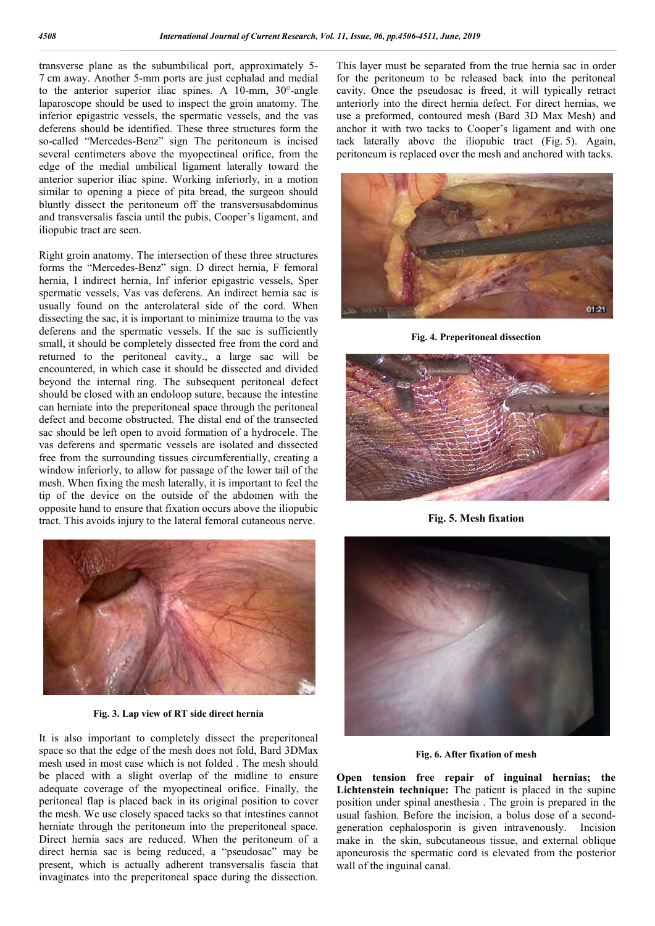transverse plane as the subumbilical port, approximately 5- 7 cm away. Another 5-mm ports are just cephalad and medial to the anterior superior iliac spines. A 10-mm, 30°-angle laparoscope should be used to inspect the groin anatomy. The inferior epigastric vessels, the spermatic vessels, and the vas deferens should be identified. These three structures form the so-called "Mercedes-Benz" sign The peritoneum is incised several centimeters above the myopectineal orifice, from the edge of the medial umbilical ligament laterally toward the anterior superior iliac spine. Working inferiorly, in a motion similar to opening a piece of pita bread, the surgeon should bluntly dissect the peritoneum off the transversusabdominus and transversalis fascia until the pubis, Cooper's ligament, and iliopubic tract are seen.

Right groin anatomy. The intersection of these three structures forms the "Mercedes-Benz" sign. D direct hernia, F femoral hernia, I indirect hernia, Inf inferior epigastric vessels, Sper spermatic vessels, Vas vas deferens. An indirect hernia sac is usually found on the anterolateral side of the cord. When dissecting the sac, it is important to minimize trauma to the vas deferens and the spermatic vessels. If the sac is sufficiently small, it should be completely dissected free from the cord and returned to the peritoneal cavity., a large sac will be encountered, in which case it should be dissected and divided beyond the internal ring. The subsequent peritoneal defect should be closed with an endoloop suture, because the intestine can herniate into the preperitoneal space through the peritoneal defect and become obstructed. The distal end of the transected sac should be left open to avoid formation of a hydrocele. The vas deferens and spermatic vessels are isolated and dissected free from the surrounding tissues circumferentially, creating a window inferiorly, to allow for passage of the lower tail of the mesh. When fixing the mesh laterally, it is important to feel the tip of the device on the outside of the abdomen with the opposite hand to ensure that fixation occurs above the iliopubic tract. This avoids injury to the lateral femoral cutaneous nerve.



**Fig. 3. Lap view of RT side direct hernia**

It is also important to completely dissect the preperitoneal space so that the edge of the mesh does not fold, Bard 3DMax mesh used in most case which is not folded . The mesh should be placed with a slight overlap of the midline to ensure adequate coverage of the myopectineal orifice. Finally, the peritoneal flap is placed back in its original position to cover the mesh. We use closely spaced tacks so that intestines cannot herniate through the peritoneum into the preperitoneal space. Direct hernia sacs are reduced. When the peritoneum of a direct hernia sac is being reduced, a "pseudosac" may be present, which is actually adherent transversalis fascia that invaginates into the preperitoneal space during the dissection.

This layer must be separated from the true hernia sac in order for the peritoneum to be released back into the peritoneal cavity. Once the pseudosac is freed, it will typically retract anteriorly into the direct hernia defect. For direct hernias, we use a preformed, contoured mesh (Bard 3D Max Mesh) and anchor it with two tacks to Cooper's ligament and with one tack laterally above the iliopubic tract (Fig. 5). Again, peritoneum is replaced over the mesh and anchored with tacks.



**Fig. 4. Preperitoneal dissection**



**Fig. 5. Mesh fixation**



**Fig. 6. After fixation of mesh**

**Open tension free repair of inguinal hernias; the Lichtenstein technique:** The patient is placed in the supine position under spinal anesthesia . The groin is prepared in the usual fashion. Before the incision, a bolus dose of a secondgeneration cephalosporin is given intravenously. Incision make in the skin, subcutaneous tissue, and external oblique aponeurosis the spermatic cord is elevated from the posterior wall of the inguinal canal.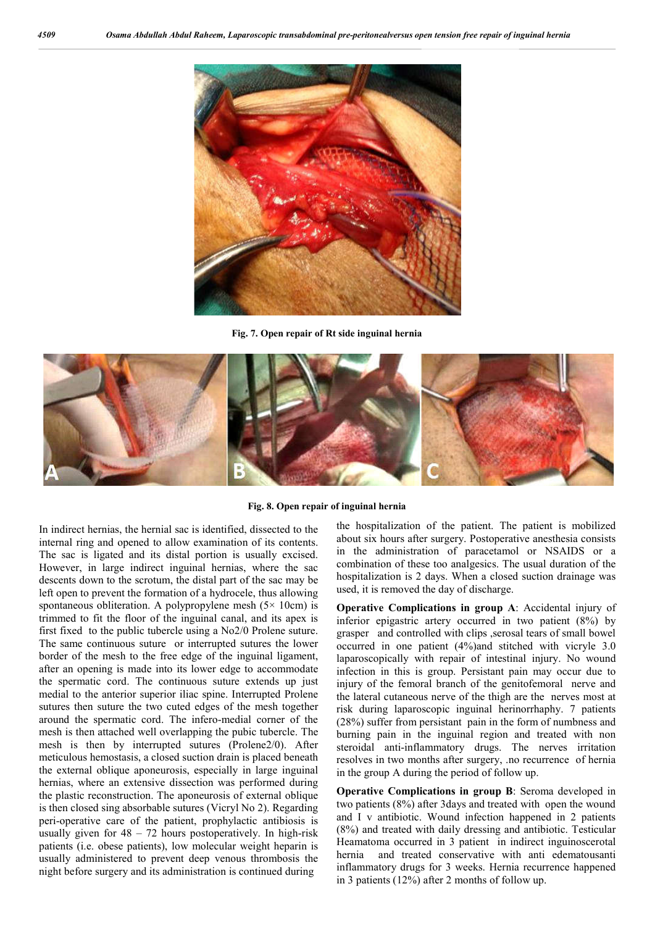

**Fig. 7. Open repair of Rt side inguinal hernia**



## **Fig. 8. Open repair of inguinal hernia**

In indirect hernias, the hernial sac is identified, dissected to the internal ring and opened to allow examination of its contents. The sac is ligated and its distal portion is usually excised. However, in large indirect inguinal hernias, where the sac descents down to the scrotum, the distal part of the sac may be left open to prevent the formation of a hydrocele, thus allowing spontaneous obliteration. A polypropylene mesh  $(5 \times 10 \text{cm})$  is trimmed to fit the floor of the inguinal canal, and its apex is first fixed to the public tubercle using a No2/0 Prolene suture. The same continuous suture or interrupted sutures the lower border of the mesh to the free edge of the inguinal ligament, after an opening is made into its lower edge to accommodate the spermatic cord. The continuous suture extends up just medial to the anterior superior iliac spine. Interrupted Prolene sutures then suture the two cuted edges of the mesh together around the spermatic cord. The infero-medial corner of the mesh is then attached well overlapping the pubic tubercle. The mesh is then by interrupted sutures (Prolene2/0). After meticulous hemostasis, a closed suction drain is placed beneath the external oblique aponeurosis, especially in large inguinal hernias, where an extensive dissection was performed during the plastic reconstruction. The aponeurosis of external oblique is then closed sing absorbable sutures (Vicryl No 2). Regarding peri-operative care of the patient, prophylactic antibiosis is usually given for  $48 - 72$  hours postoperatively. In high-risk patients (i.e. obese patients), low molecular weight heparin is usually administered to prevent deep venous thrombosis the night before surgery and its administration is continued during

the hospitalization of the patient. The patient is mobilized about six hours after surgery. Postoperative anesthesia consists in the administration of paracetamol or NSAIDS or a combination of these too analgesics. The usual duration of the hospitalization is 2 days. When a closed suction drainage was used, it is removed the day of discharge.

**Operative Complications in group A:** Accidental injury of inferior epigastric artery occurred in two patient (8%) by grasper and controlled with clips ,serosal tears of small bowel occurred in one patient (4%)and stitched with vicryle 3.0 laparoscopically with repair of intestinal injury. No wound infection in this is group. Persistant pain may occur due to injury of the femoral branch of the genitofemoral nerve and the lateral cutaneous nerve of the thigh are the nerves most at risk during laparoscopic inguinal herinorrhaphy. 7 patients (28%) suffer from persistant pain in the form of numbness and burning pain in the inguinal region and treated with non steroidal anti-inflammatory drugs. The nerves irritation resolves in two months after surgery, .no recurrence of hernia in the group A during the period of follow up.

**Operative Complications in group B**: Seroma developed in two patients (8%) after 3days and treated with open the wound and I v antibiotic. Wound infection happened in 2 patients (8%) and treated with daily dressing and antibiotic. Testicular Heamatoma occurred in 3 patient in indirect inguinoscerotal hernia and treated conservative with anti edematousanti inflammatory drugs for 3 weeks. Hernia recurrence happened in 3 patients (12%) after 2 months of follow up.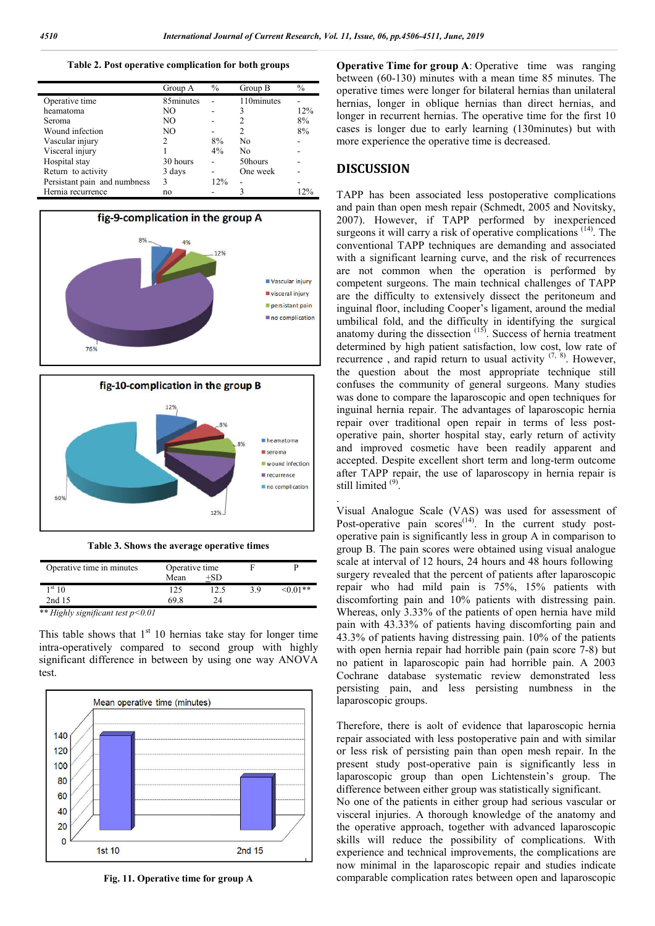**Table 2. Post operative complication for both groups**

|                              | Group A   | $\frac{0}{0}$ | Group B    | $\frac{0}{0}$ |
|------------------------------|-----------|---------------|------------|---------------|
| Operative time               | 85minutes |               | 110minutes |               |
| heamatoma                    | NO.       |               | 3          | 12%           |
| <b>Seroma</b>                | NO.       |               | 2          | 8%            |
| Wound infection              | NO.       |               | 2          | 8%            |
| Vascular injury              | 2         | 8%            | No         |               |
| Visceral injury              |           | 4%            | No         |               |
| Hospital stay                | 30 hours  |               | 50hours    |               |
| Return to activity           | 3 days    |               | One week   |               |
| Persistant pain and numbness | 3         | 12%           |            |               |
| Hernia recurrence            | no        |               | 3          | 12%           |
|                              |           |               |            |               |



**Table 3. Shows the average operative times**

| Operative time in minutes           | Operative time |       |    |                |
|-------------------------------------|----------------|-------|----|----------------|
|                                     | Mean           | $+SD$ |    |                |
| $1^{\rm st} 10$                     | 125            | 12.5  | 39 | $\leq 0.01$ ** |
| 2nd 15                              | 69.8           | 24    |    |                |
| ** Highly significant test $p<0.01$ |                |       |    |                |

This table shows that  $1<sup>st</sup> 10$  hernias take stay for longer time intra-operatively compared to second group with highly significant difference in between by using one way ANOVA test.



**Fig. 11. Operative time for group A**

**Operative Time for group A**: Operative time was ranging between (60-130) minutes with a mean time 85 minutes. The operative times were longer for bilateral hernias than unilateral hernias, longer in oblique hernias than direct hernias, and longer in recurrent hernias. The operative time for the first 10 cases is longer due to early learning (130minutes) but with more experience the operative time is decreased.

## **DISCUSSION**

.

TAPP has been associated less postoperative complications and pain than open mesh repair (Schmedt, 2005 and Novitsky, 2007). However, if TAPP performed by inexperienced surgeons it will carry a risk of operative complications <sup>(14)</sup>. The conventional TAPP techniques are demanding and associated with a significant learning curve, and the risk of recurrences are not common when the operation is performed by competent surgeons. The main technical challenges of TAPP are the difficulty to extensively dissect the peritoneum and inguinal floor, including Cooper's ligament, around the medial umbilical fold, and the difficulty in identifying the surgical anatomy during the dissection <sup>(15)</sup>. Success of hernia treatment determined by high patient satisfaction, low cost, low rate of recurrence, and rapid return to usual activity  $(7, 8)$ . However, the question about the most appropriate technique still confuses the community of general surgeons. Many studies was done to compare the laparoscopic and open techniques for inguinal hernia repair. The advantages of laparoscopic hernia repair over traditional open repair in terms of less postoperative pain, shorter hospital stay, early return of activity and improved cosmetic have been readily apparent and accepted. Despite excellent short term and long-term outcome after TAPP repair, the use of laparoscopy in hernia repair is still limited  $^{(9)}$ .

Visual Analogue Scale (VAS) was used for assessment of Post-operative pain  $\text{scores}^{(14)}$ . In the current study postoperative pain is significantly less in group A in comparison to group B. The pain scores were obtained using visual analogue scale at interval of 12 hours, 24 hours and 48 hours following surgery revealed that the percent of patients after laparoscopic repair who had mild pain is 75%, 15% patients with discomforting pain and 10% patients with distressing pain. Whereas, only 3.33% of the patients of open hernia have mild pain with 43.33% of patients having discomforting pain and 43.3% of patients having distressing pain. 10% of the patients with open hernia repair had horrible pain (pain score 7-8) but no patient in laparoscopic pain had horrible pain. A 2003 Cochrane database systematic review demonstrated less persisting pain, and less persisting numbness in the laparoscopic groups.

Therefore, there is aolt of evidence that laparoscopic hernia repair associated with less postoperative pain and with similar or less risk of persisting pain than open mesh repair. In the present study post-operative pain is significantly less in laparoscopic group than open Lichtenstein's group. The difference between either group was statistically significant. No one of the patients in either group had serious vascular or visceral injuries. A thorough knowledge of the anatomy and the operative approach, together with advanced laparoscopic skills will reduce the possibility of complications. With experience and technical improvements, the complications are now minimal in the laparoscopic repair and studies indicate comparable complication rates between open and laparoscopic